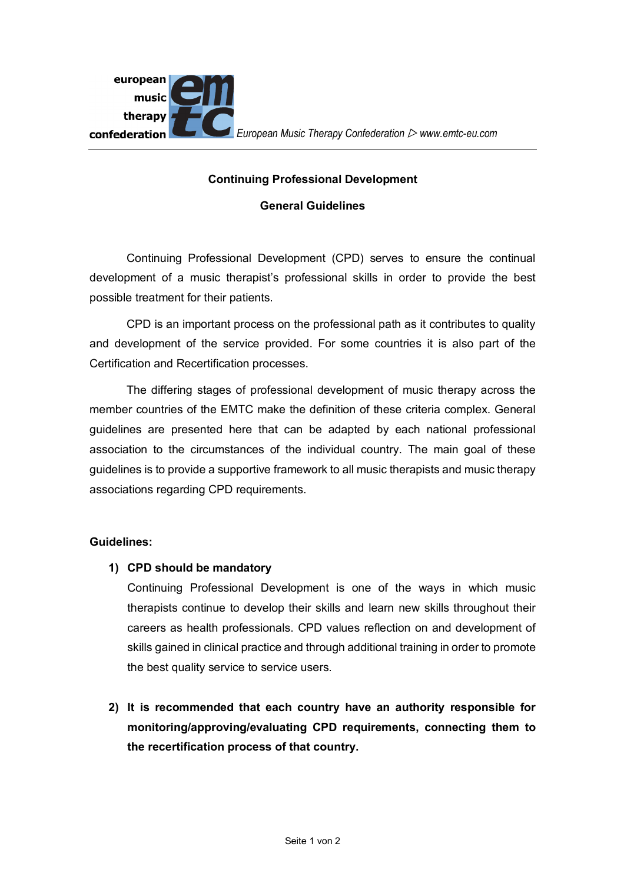

## **Continuing Professional Development**

## **General Guidelines**

Continuing Professional Development (CPD) serves to ensure the continual development of a music therapist's professional skills in order to provide the best possible treatment for their patients.

CPD is an important process on the professional path as it contributes to quality and development of the service provided. For some countries it is also part of the Certification and Recertification processes.

The differing stages of professional development of music therapy across the member countries of the EMTC make the definition of these criteria complex. General guidelines are presented here that can be adapted by each national professional association to the circumstances of the individual country. The main goal of these guidelines is to provide a supportive framework to all music therapists and music therapy associations regarding CPD requirements.

## **Guidelines:**

**1) CPD should be mandatory**

Continuing Professional Development is one of the ways in which music therapists continue to develop their skills and learn new skills throughout their careers as health professionals. CPD values reflection on and development of skills gained in clinical practice and through additional training in order to promote the best quality service to service users.

**2) It is recommended that each country have an authority responsible for monitoring/approving/evaluating CPD requirements, connecting them to the recertification process of that country.**